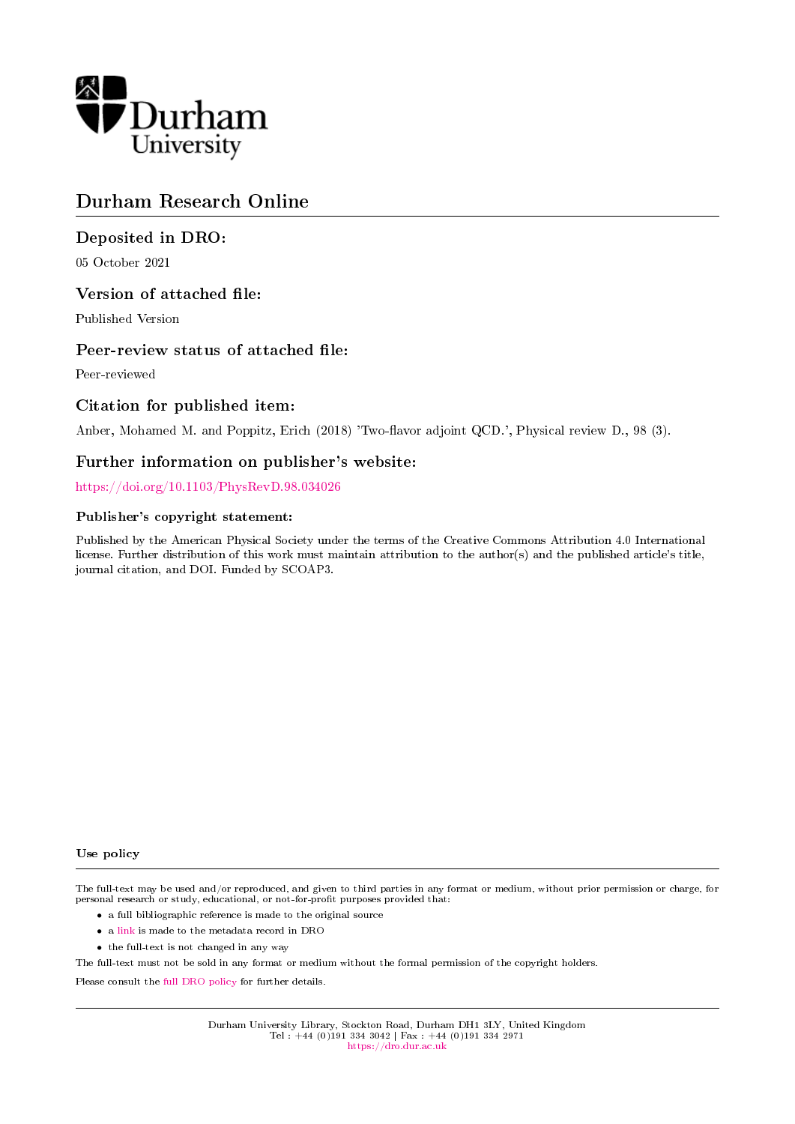

# Durham Research Online

## Deposited in DRO:

05 October 2021

## Version of attached file:

Published Version

## Peer-review status of attached file:

Peer-reviewed

## Citation for published item:

Anber, Mohamed M. and Poppitz, Erich (2018) 'Two-flavor adjoint QCD.', Physical review D., 98 (3).

## Further information on publisher's website:

<https://doi.org/10.1103/PhysRevD.98.034026>

## Publisher's copyright statement:

Published by the American Physical Society under the terms of the Creative Commons Attribution 4.0 International license. Further distribution of this work must maintain attribution to the author(s) and the published article's title, journal citation, and DOI. Funded by SCOAP3.

#### Use policy

The full-text may be used and/or reproduced, and given to third parties in any format or medium, without prior permission or charge, for personal research or study, educational, or not-for-profit purposes provided that:

- a full bibliographic reference is made to the original source
- a [link](http://dro.dur.ac.uk/34055/) is made to the metadata record in DRO
- the full-text is not changed in any way

The full-text must not be sold in any format or medium without the formal permission of the copyright holders.

Please consult the [full DRO policy](https://dro.dur.ac.uk/policies/usepolicy.pdf) for further details.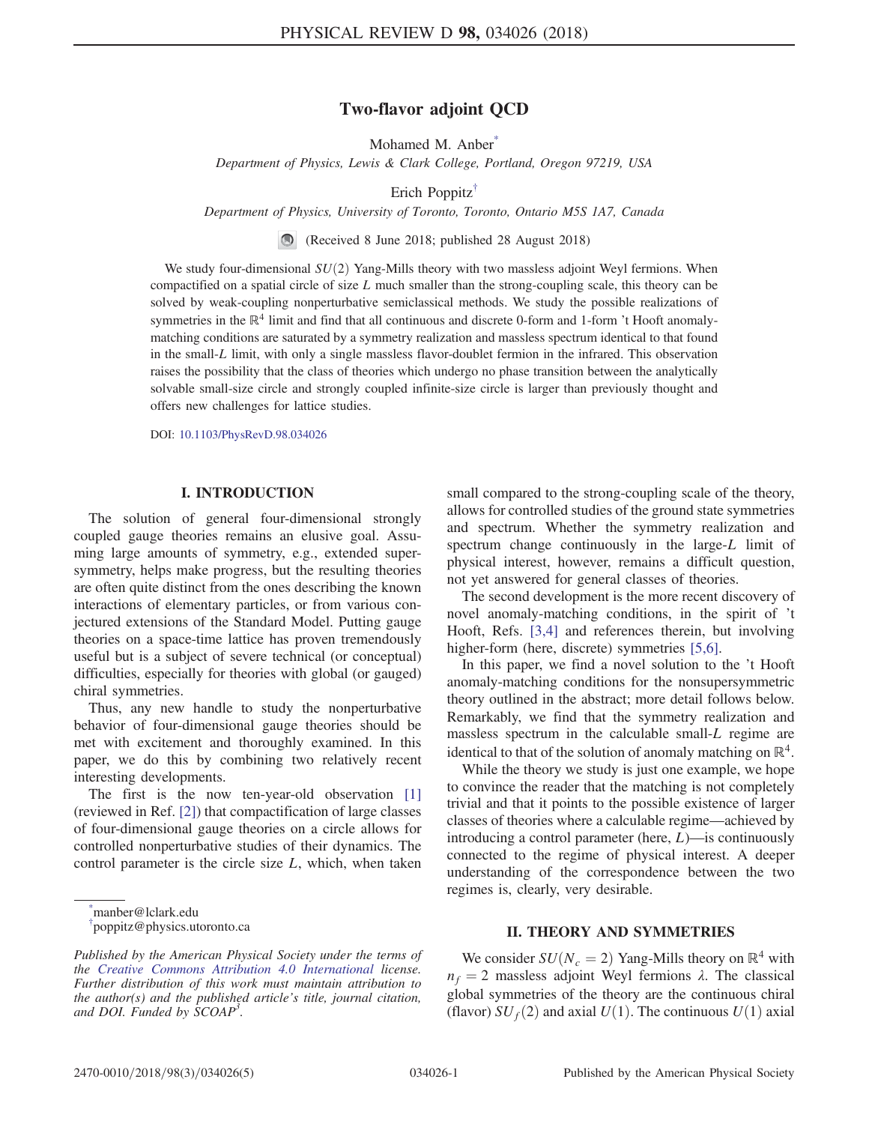## Two-flavor adjoint QCD

Mohamed M. Anber<sup>\*</sup>

<span id="page-1-2"></span>Department of Physics, Lewis & Clark College, Portland, Oregon 97219, USA

Erich Poppitz[†](#page-1-1)

Department of Physics, University of Toronto, Toronto, Ontario M5S 1A7, Canada

(Received 8 June 2018; published 28 August 2018)

<span id="page-1-3"></span>We study four-dimensional  $SU(2)$  Yang-Mills theory with two massless adjoint Weyl fermions. When compactified on a spatial circle of size  $L$  much smaller than the strong-coupling scale, this theory can be solved by weak-coupling nonperturbative semiclassical methods. We study the possible realizations of symmetries in the  $\mathbb{R}^4$  limit and find that all continuous and discrete 0-form and 1-form 't Hooft anomalymatching conditions are saturated by a symmetry realization and massless spectrum identical to that found in the small-L limit, with only a single massless flavor-doublet fermion in the infrared. This observation raises the possibility that the class of theories which undergo no phase transition between the analytically solvable small-size circle and strongly coupled infinite-size circle is larger than previously thought and offers new challenges for lattice studies.

DOI: [10.1103/PhysRevD.98.034026](https://doi.org/10.1103/PhysRevD.98.034026)

### I. INTRODUCTION

The solution of general four-dimensional strongly coupled gauge theories remains an elusive goal. Assuming large amounts of symmetry, e.g., extended supersymmetry, helps make progress, but the resulting theories are often quite distinct from the ones describing the known interactions of elementary particles, or from various conjectured extensions of the Standard Model. Putting gauge theories on a space-time lattice has proven tremendously useful but is a subject of severe technical (or conceptual) difficulties, especially for theories with global (or gauged) chiral symmetries.

Thus, any new handle to study the nonperturbative behavior of four-dimensional gauge theories should be met with excitement and thoroughly examined. In this paper, we do this by combining two relatively recent interesting developments.

The first is the now ten-year-old observation [\[1\]](#page-5-0) (reviewed in Ref. [\[2\]](#page-5-1)) that compactification of large classes of four-dimensional gauge theories on a circle allows for controlled nonperturbative studies of their dynamics. The control parameter is the circle size  $L$ , which, when taken

<span id="page-1-0"></span>[\\*](#page-1-2) manber@lclark.edu

small compared to the strong-coupling scale of the theory, allows for controlled studies of the ground state symmetries and spectrum. Whether the symmetry realization and spectrum change continuously in the large-L limit of physical interest, however, remains a difficult question, not yet answered for general classes of theories.

The second development is the more recent discovery of novel anomaly-matching conditions, in the spirit of 't Hooft, Refs. [\[3,4\]](#page-5-2) and references therein, but involving higher-form (here, discrete) symmetries [\[5,6\]](#page-5-3).

In this paper, we find a novel solution to the 't Hooft anomaly-matching conditions for the nonsupersymmetric theory outlined in the abstract; more detail follows below. Remarkably, we find that the symmetry realization and massless spectrum in the calculable small-L regime are identical to that of the solution of anomaly matching on  $\mathbb{R}^4$ .

While the theory we study is just one example, we hope to convince the reader that the matching is not completely trivial and that it points to the possible existence of larger classes of theories where a calculable regime—achieved by introducing a control parameter (here,  $L$ )—is continuously connected to the regime of physical interest. A deeper understanding of the correspondence between the two regimes is, clearly, very desirable.

### II. THEORY AND SYMMETRIES

We consider  $SU(N_c = 2)$  Yang-Mills theory on  $\mathbb{R}^4$  with  $n_f = 2$  massless adjoint Weyl fermions  $\lambda$ . The classical global symmetries of the theory are the continuous chiral (flavor)  $SU_f(2)$  and axial  $U(1)$ . The continuous  $U(1)$  axial

<span id="page-1-1"></span>[<sup>†</sup>](#page-1-3) poppitz@physics.utoronto.ca

Published by the American Physical Society under the terms of the [Creative Commons Attribution 4.0 International](https://creativecommons.org/licenses/by/4.0/) license. Further distribution of this work must maintain attribution to the author(s) and the published article's title, journal citation, and DOI. Funded by SCOAP<sup>3</sup>.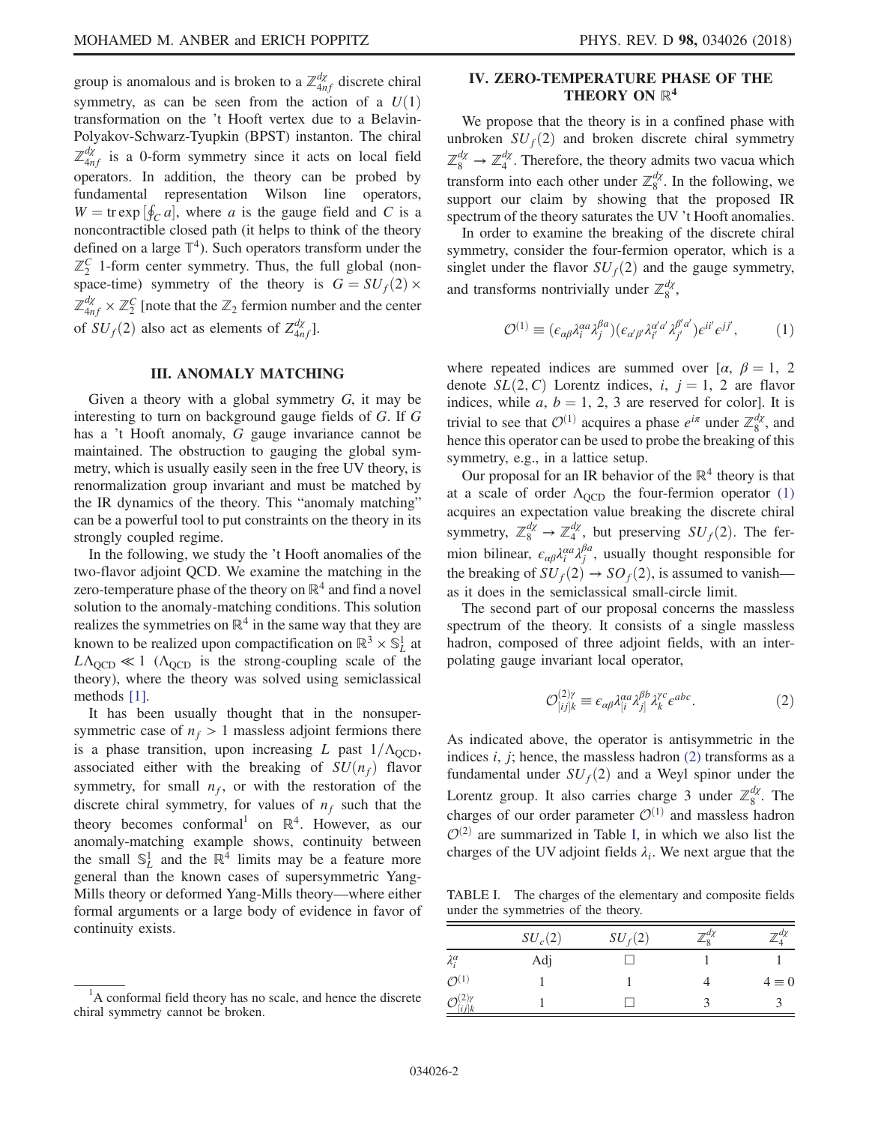group is anomalous and is broken to a  $\mathbb{Z}_{4nf}^{d\chi}$  discrete chiral symmetry, as can be seen from the action of a  $U(1)$ transformation on the 't Hooft vertex due to a Belavin-Polyakov-Schwarz-Tyupkin (BPST) instanton. The chiral  $\mathbb{Z}_{4nf}^{d\chi}$  is a 0-form symmetry since it acts on local field operators. In addition, the theory can be probed by fundamental representation Wilson line operators,  $W = \text{tr} \exp \left[\oint_C a\right]$ , where a is the gauge field and C is a noncontractible closed path (it helps to think of the theory defined on a large  $\mathbb{T}^4$ ). Such operators transform under the  $\mathbb{Z}_2^C$  1-form center symmetry. Thus, the full global (nonspace-time) symmetry of the theory is  $G = SU_f(2) \times$  $\mathbb{Z}_{4nf}^{d\chi} \times \mathbb{Z}_2^C$  [note that the  $\mathbb{Z}_2$  fermion number and the center of  $SU_f(2)$  also act as elements of  $Z_{4nf}^{d\chi}$ ].

### III. ANOMALY MATCHING

Given a theory with a global symmetry G, it may be interesting to turn on background gauge fields of G. If G has a 't Hooft anomaly, G gauge invariance cannot be maintained. The obstruction to gauging the global symmetry, which is usually easily seen in the free UV theory, is renormalization group invariant and must be matched by the IR dynamics of the theory. This "anomaly matching" can be a powerful tool to put constraints on the theory in its strongly coupled regime.

In the following, we study the 't Hooft anomalies of the two-flavor adjoint QCD. We examine the matching in the zero-temperature phase of the theory on  $\mathbb{R}^4$  and find a novel solution to the anomaly-matching conditions. This solution realizes the symmetries on  $\mathbb{R}^4$  in the same way that they are known to be realized upon compactification on  $\mathbb{R}^3 \times \mathbb{S}^1$  at  $L\Lambda_{\text{QCD}} \ll 1$  ( $\Lambda_{\text{QCD}}$  is the strong-coupling scale of the theory), where the theory was solved using semiclassical methods [\[1\].](#page-5-0)

It has been usually thought that in the nonsupersymmetric case of  $n_f > 1$  massless adjoint fermions there is a phase transition, upon increasing L past  $1/\Lambda_{\text{QCD}}$ , associated either with the breaking of  $SU(n_f)$  flavor symmetry, for small  $n_f$ , or with the restoration of the discrete chiral symmetry, for values of  $n_f$  such that the theory becomes conformal<sup>1</sup> on  $\mathbb{R}^4$ . However, as our anomaly-matching example shows, continuity between the small  $\mathbb{S}^1_L$  and the  $\mathbb{R}^4$  limits may be a feature more general than the known cases of supersymmetric Yang-Mills theory or deformed Yang-Mills theory—where either formal arguments or a large body of evidence in favor of continuity exists.

### IV. ZERO-TEMPERATURE PHASE OF THE THEORY ON  $\mathbb{R}^4$

We propose that the theory is in a confined phase with unbroken  $SU_f(2)$  and broken discrete chiral symmetry  $\mathbb{Z}_8^{d\chi} \to \mathbb{Z}_4^{d\chi}$ . Therefore, the theory admits two vacua which transform into each other under  $\mathbb{Z}_8^{d\chi}$ . In the following, we support our claim by showing that the proposed IR spectrum of the theory saturates the UV 't Hooft anomalies.

<span id="page-2-0"></span>In order to examine the breaking of the discrete chiral symmetry, consider the four-fermion operator, which is a singlet under the flavor  $SU_f(2)$  and the gauge symmetry, and transforms nontrivially under  $\mathbb{Z}_8^{d\chi}$ ,

$$
\mathcal{O}^{(1)} \equiv (\epsilon_{\alpha\beta}\lambda_i^{\alpha a}\lambda_j^{\beta a})(\epsilon_{\alpha'\beta'}\lambda_{i'}^{\alpha'\alpha'}\lambda_{j'}^{\beta'a'})\epsilon^{ii'}\epsilon^{jj'},\tag{1}
$$

where repeated indices are summed over [ $\alpha$ ,  $\beta = 1, 2$ denote  $SL(2, C)$  Lorentz indices, i,  $j = 1, 2$  are flavor indices, while  $a, b = 1, 2, 3$  are reserved for color]. It is trivial to see that  $\mathcal{O}^{(1)}$  acquires a phase  $e^{i\pi}$  under  $\mathbb{Z}_8^{d\chi}$ , and hence this operator can be used to probe the breaking of this symmetry, e.g., in a lattice setup.

Our proposal for an IR behavior of the  $\mathbb{R}^4$  theory is that at a scale of order  $\Lambda_{\text{OCD}}$  the four-fermion operator [\(1\)](#page-2-0) acquires an expectation value breaking the discrete chiral symmetry,  $\mathbb{Z}_8^{d\chi} \to \mathbb{Z}_4^{d\chi}$ , but preserving  $SU_f(2)$ . The fermion bilinear,  $\epsilon_{\alpha\beta} \lambda_i^{\alpha\alpha} \lambda_j^{\beta\alpha}$ , usually thought responsible for the breaking of  $SU_f(2) \rightarrow SO_f(2)$ , is assumed to vanish as it does in the semiclassical small-circle limit.

<span id="page-2-1"></span>The second part of our proposal concerns the massless spectrum of the theory. It consists of a single massless hadron, composed of three adjoint fields, with an interpolating gauge invariant local operator,

$$
\mathcal{O}_{[ij]k}^{(2)\gamma} \equiv \epsilon_{\alpha\beta} \lambda_{[i}^{\alpha a} \lambda_{j]}^{\beta b} \lambda_k^{\gamma c} \epsilon^{abc}.
$$
 (2)

As indicated above, the operator is antisymmetric in the indices  $i$ ,  $j$ ; hence, the massless hadron  $(2)$  transforms as a fundamental under  $SU_f(2)$  and a Weyl spinor under the Lorentz group. It also carries charge 3 under  $\mathbb{Z}_8^{d\chi}$ . The charges of our order parameter  $\mathcal{O}^{(1)}$  and massless hadron  $\mathcal{O}^{(2)}$  are summarized in Table [I](#page-2-2), in which we also list the charges of the UV adjoint fields  $\lambda_i$ . We next argue that the

<span id="page-2-2"></span>TABLE I. The charges of the elementary and composite fields under the symmetries of the theory.

| ntinuity exists.                                                                                             |                     | $SU_c(2)$ | SU <sub>f</sub> (2) | $\neg$ <sup><math>a_{\lambda}</math></sup> |              |
|--------------------------------------------------------------------------------------------------------------|---------------------|-----------|---------------------|--------------------------------------------|--------------|
|                                                                                                              |                     | Ad)       |                     |                                            |              |
|                                                                                                              | $\mathcal{O}(1)$    |           |                     |                                            | $4 \equiv 0$ |
| <sup>1</sup> A conformal field theory has no scale, and hence the discrete<br>ral symmetry cannot be broken. | $\mathcal{O}^{(2)}$ |           |                     |                                            |              |

chiral symmetry cannot be broken.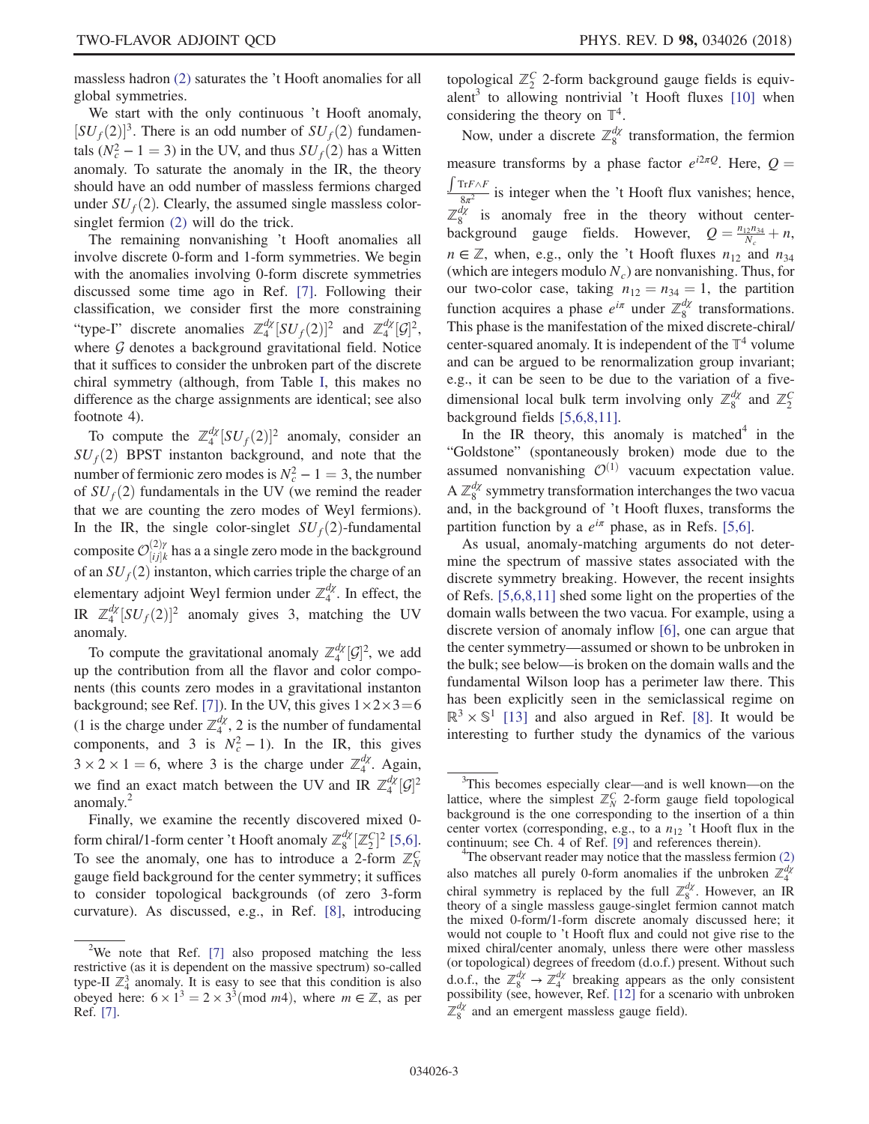massless hadron [\(2\)](#page-2-1) saturates the 't Hooft anomalies for all global symmetries.

We start with the only continuous 't Hooft anomaly,  $[SU_f(2)]^3$ . There is an odd number of  $SU_f(2)$  fundamentals  $(N_c^2 - 1 = 3)$  in the UV, and thus  $SU_f(2)$  has a Witten anomaly. To saturate the anomaly in the IR, the theory should have an odd number of massless fermions charged under  $SU_f(2)$ . Clearly, the assumed single massless colorsinglet fermion [\(2\)](#page-2-1) will do the trick.

The remaining nonvanishing 't Hooft anomalies all involve discrete 0-form and 1-form symmetries. We begin with the anomalies involving 0-form discrete symmetries discussed some time ago in Ref. [\[7\]](#page-5-4). Following their classification, we consider first the more constraining "type-I" discrete anomalies  $\mathbb{Z}_4^{d\chi}[SU_f(2)]^2$  and  $\mathbb{Z}_4^{d\chi}[G]^2$ , where  $G$  denotes a background gravitational field. Notice that it suffices to consider the unbroken part of the discrete chiral symmetry (although, from Table [I,](#page-2-2) this makes no difference as the charge assignments are identical; see also footnote 4).

To compute the  $\mathbb{Z}_4^{d\chi}[SU_f(2)]^2$  anomaly, consider an  $SU_f(2)$  BPST instanton background, and note that the number of fermionic zero modes is  $N_c^2 - 1 = 3$ , the number of  $SU_f(2)$  fundamentals in the UV (we remind the reader that we are counting the zero modes of Weyl fermions). In the IR, the single color-singlet  $SU_f(2)$ -fundamental composite  $\mathcal{O}_{[i j]k}^{(2)\gamma}$  has a a single zero mode in the background of an  $SU_f(2)$  instanton, which carries triple the charge of an elementary adjoint Weyl fermion under  $\mathbb{Z}_4^{d\chi}$ . In effect, the IR  $\mathbb{Z}_4^{d\chi}[SU_f(2)]^2$  anomaly gives 3, matching the UV anomaly.

To compute the gravitational anomaly  $\mathbb{Z}_4^{d\chi}[\mathcal{G}]^2$ , we add up the contribution from all the flavor and color components (this counts zero modes in a gravitational instanton background; see Ref. [\[7\]](#page-5-4)). In the UV, this gives  $1 \times 2 \times 3 = 6$ (1 is the charge under  $\mathbb{Z}_4^{d\chi}$ , 2 is the number of fundamental components, and 3 is  $N_c^2 - 1$ ). In the IR, this gives  $3 \times 2 \times 1 = 6$ , where 3 is the charge under  $\mathbb{Z}_4^{d\chi}$ . Again, we find an exact match between the UV and IR  $\mathbb{Z}_4^{d\chi}[\mathcal{G}]^2$ anomaly.<sup>2</sup>

Finally, we examine the recently discovered mixed 0 form chiral/1-form center 't Hooft anomaly  $\mathbb{Z}_8^{d\chi}[\mathbb{Z}_2^C]^2$  [\[5,6\]](#page-5-3). To see the anomaly, one has to introduce a 2-form  $\mathbb{Z}_N^C$ gauge field background for the center symmetry; it suffices to consider topological backgrounds (of zero 3-form curvature). As discussed, e.g., in Ref. [\[8\],](#page-5-5) introducing

topological  $\mathbb{Z}_2^C$  2-form background gauge fields is equivalent<sup>3</sup> to allowing nontrivial 't Hooft fluxes  $[10]$  when considering the theory on  $\mathbb{T}^4$ .

Now, under a discrete  $\mathbb{Z}_8^{d\chi}$  transformation, the fermion measure transforms by a phase factor  $e^{i2\pi Q}$ . Here,  $Q = \int \text{Tr}F \wedge F$  is integer when the 't Heaft flux vanishes; hence  $\frac{8\pi^2}{8\pi^2}$  is integer when the 't Hooft flux vanishes; hence,  $\mathbb{Z}_8^{d\chi}$  is anomaly free in the theory without centerbackground gauge fields. However,  $Q = \frac{n_{12}n_{34}}{N_c} + n$ ,  $n \in \mathbb{Z}$ , when, e.g., only the 't Hooft fluxes  $n_{12}$  and  $n_{34}$ (which are integers modulo  $N_c$ ) are nonvanishing. Thus, for our two-color case, taking  $n_{12} = n_{34} = 1$ , the partition function acquires a phase  $e^{i\pi}$  under  $\mathbb{Z}_8^{d\chi}$  transformations. This phase is the manifestation of the mixed discrete-chiral/ center-squared anomaly. It is independent of the  $\mathbb{T}^4$  volume and can be argued to be renormalization group invariant; e.g., it can be seen to be due to the variation of a fivedimensional local bulk term involving only  $\mathbb{Z}_8^{d\chi}$  and  $\mathbb{Z}_2^C$ background fields [\[5,6,8,11\]](#page-5-3).

In the IR theory, this anomaly is matched $4$  in the "Goldstone" (spontaneously broken) mode due to the assumed nonvanishing  $\mathcal{O}^{(1)}$  vacuum expectation value.  $A \mathbb{Z}_8^{d\chi}$  symmetry transformation interchanges the two vacua and, in the background of 't Hooft fluxes, transforms the partition function by a  $e^{i\pi}$  phase, as in Refs. [\[5,6\]](#page-5-3).

As usual, anomaly-matching arguments do not determine the spectrum of massive states associated with the discrete symmetry breaking. However, the recent insights of Refs. [\[5,6,8,11\]](#page-5-3) shed some light on the properties of the domain walls between the two vacua. For example, using a discrete version of anomaly inflow [\[6\],](#page-5-7) one can argue that the center symmetry—assumed or shown to be unbroken in the bulk; see below—is broken on the domain walls and the fundamental Wilson loop has a perimeter law there. This has been explicitly seen in the semiclassical regime on  $\mathbb{R}^3 \times \mathbb{S}^1$  [\[13\]](#page-5-8) and also argued in Ref. [\[8\]](#page-5-5). It would be interesting to further study the dynamics of the various

<sup>&</sup>lt;sup>2</sup>We note that Ref. [\[7\]](#page-5-4) also proposed matching the less restrictive (as it is dependent on the massive spectrum) so-called type-II  $\mathbb{Z}_4^3$  anomaly. It is easy to see that this condition is also obeyed here:  $6 \times 1^3 = 2 \times 3^3 \pmod{m^4}$ , where  $m \in \mathbb{Z}$ , as per Ref. [\[7\]](#page-5-4).

<sup>&</sup>lt;sup>3</sup>This becomes especially clear—and is well known—on the lattice, where the simplest  $\mathbb{Z}_N^C$  2-form gauge field topological background is the one corresponding to the insertion of a thin center vortex (corresponding, e.g., to a  $n_{12}$  't Hooft flux in the continuum; see Ch.  $\overline{4}$  of Ref.  $[9]$  and references therein).

The observant reader may notice that the massless fermion [\(2\)](#page-2-1) also matches all purely 0-form anomalies if the unbroken  $\mathbb{Z}_4^{d\chi}$ chiral symmetry is replaced by the full  $\mathbb{Z}_8^{d\chi}$ . However, an IR theory of a single massless gauge-singlet fermion cannot match the mixed 0-form/1-form discrete anomaly discussed here; it would not couple to 't Hooft flux and could not give rise to the mixed chiral/center anomaly, unless there were other massless (or topological) degrees of freedom (d.o.f.) present. Without such d.o.f., the  $\mathbb{Z}_8^{d\chi} \to \mathbb{Z}_4^{d\chi}$  breaking appears as the only consistent possibility (see, however, Ref. [\[12\]](#page-5-10) for a scenario with unbroken  $\mathbb{Z}_8^{d\chi}$  and an emergent massless gauge field).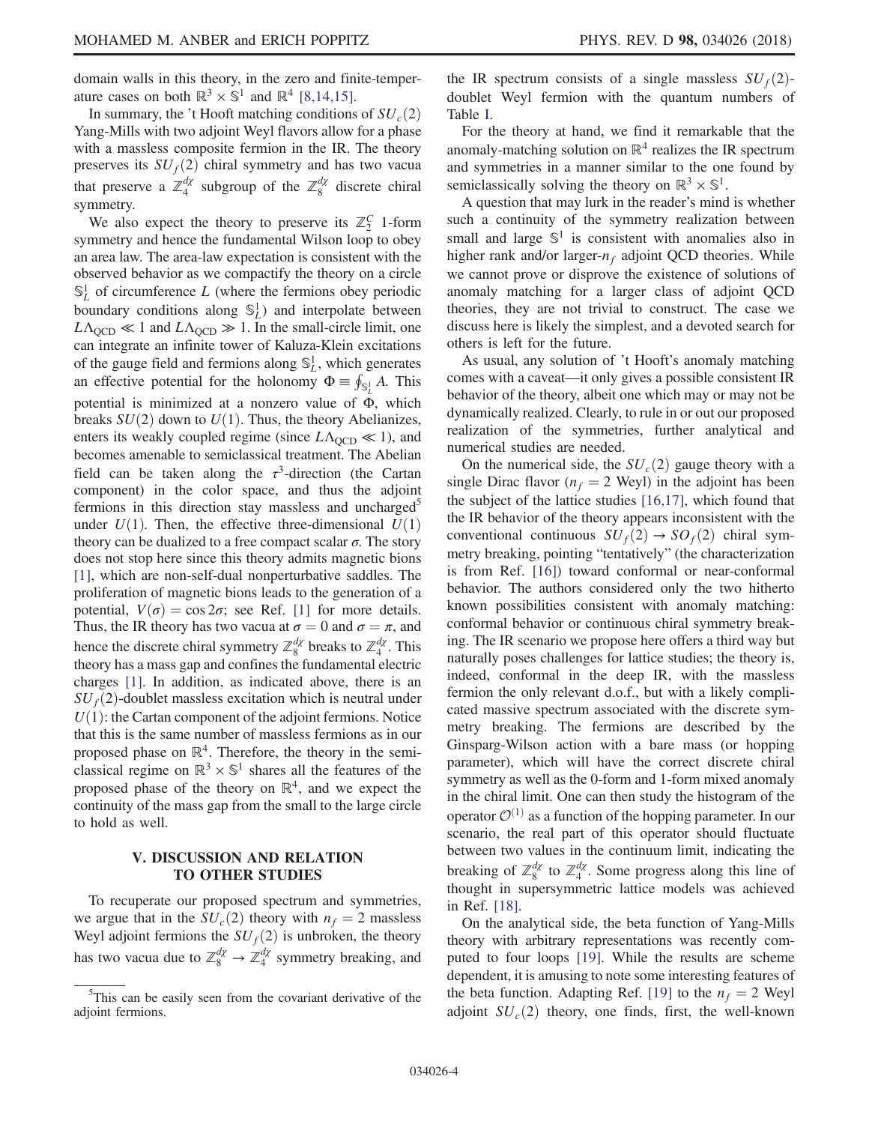domain walls in this theory, in the zero and finite-temperature cases on both  $\mathbb{R}^3 \times \mathbb{S}^1$  and  $\mathbb{R}^4$  [\[8,14,15\].](#page-5-5)

In summary, the 't Hooft matching conditions of  $SU_c(2)$ Yang-Mills with two adjoint Weyl flavors allow for a phase with a massless composite fermion in the IR. The theory preserves its  $SU_f(2)$  chiral symmetry and has two vacua that preserve a  $\mathbb{Z}_4^{d\chi}$  subgroup of the  $\mathbb{Z}_8^{d\chi}$  discrete chiral symmetry.

We also expect the theory to preserve its  $\mathbb{Z}_2^C$  1-form symmetry and hence the fundamental Wilson loop to obey an area law. The area-law expectation is consistent with the observed behavior as we compactify the theory on a circle  $\mathbb{S}^1_L$  of circumference L (where the fermions obey periodic boundary conditions along  $\mathbb{S}_L^1$ ) and interpolate between  $L\Lambda_{\text{OCD}} \ll 1$  and  $L\Lambda_{\text{OCD}} \gg 1$ . In the small-circle limit, one can integrate an infinite tower of Kaluza-Klein excitations of the gauge field and fermions along  $\mathbb{S}_L^1$ , which generates an effective potential for the holonomy  $\Phi = \oint_{S_L} A$ . This potential is minimized at a nonzero value of Φ, which breaks  $SU(2)$  down to  $U(1)$ . Thus, the theory Abelianizes, enters its weakly coupled regime (since  $L\Lambda_{\text{QCD}} \ll 1$ ), and becomes amenable to semiclassical treatment. The Abelian field can be taken along the  $\tau^3$ -direction (the Cartan component) in the color space, and thus the adjoint fermions in this direction stay massless and uncharged<sup>5</sup> under  $U(1)$ . Then, the effective three-dimensional  $U(1)$ theory can be dualized to a free compact scalar  $\sigma$ . The story does not stop here since this theory admits magnetic bions [\[1\]](#page-5-0), which are non-self-dual nonperturbative saddles. The proliferation of magnetic bions leads to the generation of a potential,  $V(\sigma) = \cos 2\sigma$ ; see Ref. [\[1\]](#page-5-0) for more details. Thus, the IR theory has two vacua at  $\sigma = 0$  and  $\sigma = \pi$ , and hence the discrete chiral symmetry  $\mathbb{Z}_8^{d\chi}$  breaks to  $\mathbb{Z}_4^{d\chi}$ . This theory has a mass gap and confines the fundamental electric charges [\[1\]](#page-5-0). In addition, as indicated above, there is an  $SU<sub>f</sub>(2)$ -doublet massless excitation which is neutral under  $U(1)$ : the Cartan component of the adjoint fermions. Notice that this is the same number of massless fermions as in our proposed phase on  $\mathbb{R}^4$ . Therefore, the theory in the semiclassical regime on  $\mathbb{R}^3 \times \mathbb{S}^1$  shares all the features of the proposed phase of the theory on  $\mathbb{R}^4$ , and we expect the continuity of the mass gap from the small to the large circle to hold as well.

### V. DISCUSSION AND RELATION TO OTHER STUDIES

To recuperate our proposed spectrum and symmetries, we argue that in the  $SU_c(2)$  theory with  $n_f = 2$  massless Weyl adjoint fermions the  $SU_f(2)$  is unbroken, the theory has two vacua due to  $\mathbb{Z}_8^{d\chi} \to \mathbb{Z}_4^{d\chi}$  symmetry breaking, and the IR spectrum consists of a single massless  $SU_f(2)$ doublet Weyl fermion with the quantum numbers of Table [I.](#page-2-2)

For the theory at hand, we find it remarkable that the anomaly-matching solution on  $\mathbb{R}^4$  realizes the IR spectrum and symmetries in a manner similar to the one found by semiclassically solving the theory on  $\mathbb{R}^3 \times \mathbb{S}^1$ .

A question that may lurk in the reader's mind is whether such a continuity of the symmetry realization between small and large  $\mathbb{S}^1$  is consistent with anomalies also in higher rank and/or larger- $n_f$  adjoint QCD theories. While we cannot prove or disprove the existence of solutions of anomaly matching for a larger class of adjoint QCD theories, they are not trivial to construct. The case we discuss here is likely the simplest, and a devoted search for others is left for the future.

As usual, any solution of 't Hooft's anomaly matching comes with a caveat—it only gives a possible consistent IR behavior of the theory, albeit one which may or may not be dynamically realized. Clearly, to rule in or out our proposed realization of the symmetries, further analytical and numerical studies are needed.

On the numerical side, the  $SU_c(2)$  gauge theory with a single Dirac flavor ( $n_f = 2$  Weyl) in the adjoint has been the subject of the lattice studies [\[16,17\]](#page-5-11), which found that the IR behavior of the theory appears inconsistent with the conventional continuous  $SU_f(2) \rightarrow SO_f(2)$  chiral symmetry breaking, pointing "tentatively" (the characterization is from Ref. [\[16\]](#page-5-11)) toward conformal or near-conformal behavior. The authors considered only the two hitherto known possibilities consistent with anomaly matching: conformal behavior or continuous chiral symmetry breaking. The IR scenario we propose here offers a third way but naturally poses challenges for lattice studies; the theory is, indeed, conformal in the deep IR, with the massless fermion the only relevant d.o.f., but with a likely complicated massive spectrum associated with the discrete symmetry breaking. The fermions are described by the Ginsparg-Wilson action with a bare mass (or hopping parameter), which will have the correct discrete chiral symmetry as well as the 0-form and 1-form mixed anomaly in the chiral limit. One can then study the histogram of the operator  $\mathcal{O}^{(1)}$  as a function of the hopping parameter. In our scenario, the real part of this operator should fluctuate between two values in the continuum limit, indicating the breaking of  $\mathbb{Z}_8^{d\chi}$  to  $\mathbb{Z}_4^{d\chi}$ . Some progress along this line of thought in supersymmetric lattice models was achieved in Ref. [\[18\]](#page-5-12).

On the analytical side, the beta function of Yang-Mills theory with arbitrary representations was recently computed to four loops [\[19\].](#page-5-13) While the results are scheme dependent, it is amusing to note some interesting features of the beta function. Adapting Ref. [\[19\]](#page-5-13) to the  $n_f = 2$  Weyl adjoint  $SU_c(2)$  theory, one finds, first, the well-known

<sup>&</sup>lt;sup>5</sup>This can be easily seen from the covariant derivative of the adjoint fermions.